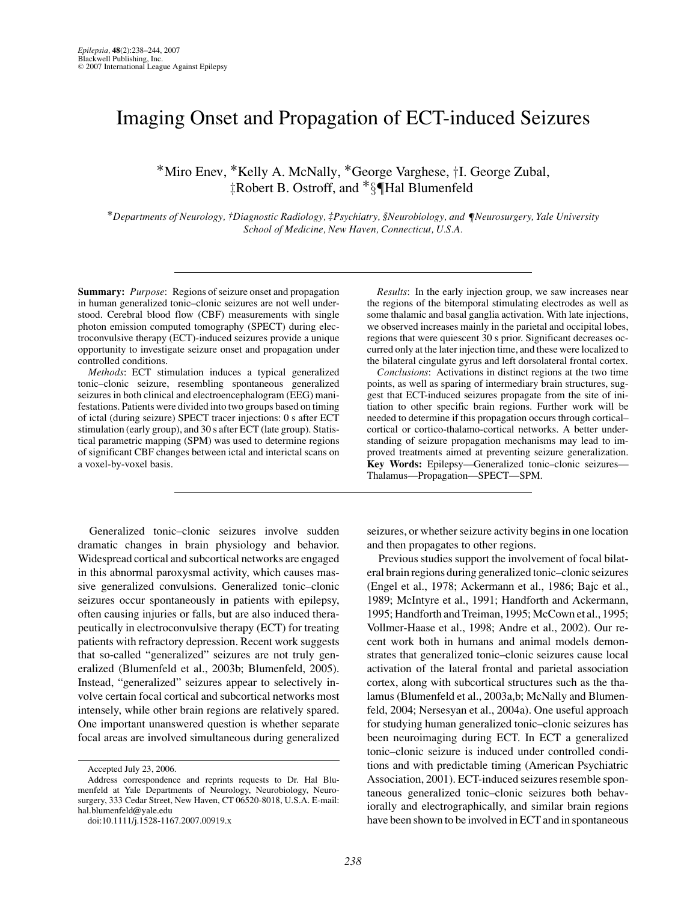# Imaging Onset and Propagation of ECT-induced Seizures

∗Miro Enev, ∗Kelly A. McNally, ∗George Varghese, †I. George Zubal, ‡Robert B. Ostroff, and ∗§¶Hal Blumenfeld

∗*Departments of Neurology, †Diagnostic Radiology, ‡Psychiatry, §Neurobiology, and* ¶*Neurosurgery, Yale University School of Medicine, New Haven, Connecticut, U.S.A.*

**Summary:** *Purpose*: Regions of seizure onset and propagation in human generalized tonic–clonic seizures are not well understood. Cerebral blood flow (CBF) measurements with single photon emission computed tomography (SPECT) during electroconvulsive therapy (ECT)-induced seizures provide a unique opportunity to investigate seizure onset and propagation under controlled conditions.

*Methods*: ECT stimulation induces a typical generalized tonic–clonic seizure, resembling spontaneous generalized seizures in both clinical and electroencephalogram (EEG) manifestations. Patients were divided into two groups based on timing of ictal (during seizure) SPECT tracer injections: 0 s after ECT stimulation (early group), and 30 s after ECT (late group). Statistical parametric mapping (SPM) was used to determine regions of significant CBF changes between ictal and interictal scans on a voxel-by-voxel basis.

Generalized tonic–clonic seizures involve sudden dramatic changes in brain physiology and behavior. Widespread cortical and subcortical networks are engaged in this abnormal paroxysmal activity, which causes massive generalized convulsions. Generalized tonic–clonic seizures occur spontaneously in patients with epilepsy, often causing injuries or falls, but are also induced therapeutically in electroconvulsive therapy (ECT) for treating patients with refractory depression. Recent work suggests that so-called "generalized" seizures are not truly generalized (Blumenfeld et al., 2003b; Blumenfeld, 2005). Instead, "generalized" seizures appear to selectively involve certain focal cortical and subcortical networks most intensely, while other brain regions are relatively spared. One important unanswered question is whether separate focal areas are involved simultaneous during generalized

doi:10.1111/j.1528-1167.2007.00919.x

*Results*: In the early injection group, we saw increases near the regions of the bitemporal stimulating electrodes as well as some thalamic and basal ganglia activation. With late injections, we observed increases mainly in the parietal and occipital lobes, regions that were quiescent 30 s prior. Significant decreases occurred only at the later injection time, and these were localized to the bilateral cingulate gyrus and left dorsolateral frontal cortex.

*Conclusions*: Activations in distinct regions at the two time points, as well as sparing of intermediary brain structures, suggest that ECT-induced seizures propagate from the site of initiation to other specific brain regions. Further work will be needed to determine if this propagation occurs through cortical– cortical or cortico-thalamo-cortical networks. A better understanding of seizure propagation mechanisms may lead to improved treatments aimed at preventing seizure generalization. **Key Words:** Epilepsy—Generalized tonic–clonic seizures— Thalamus—Propagation—SPECT—SPM.

seizures, or whether seizure activity begins in one location and then propagates to other regions.

Previous studies support the involvement of focal bilateral brain regions during generalized tonic–clonic seizures (Engel et al., 1978; Ackermann et al., 1986; Bajc et al., 1989; McIntyre et al., 1991; Handforth and Ackermann, 1995; Handforth and Treiman, 1995; McCown et al., 1995; Vollmer-Haase et al., 1998; Andre et al., 2002). Our recent work both in humans and animal models demonstrates that generalized tonic–clonic seizures cause local activation of the lateral frontal and parietal association cortex, along with subcortical structures such as the thalamus (Blumenfeld et al., 2003a,b; McNally and Blumenfeld, 2004; Nersesyan et al., 2004a). One useful approach for studying human generalized tonic–clonic seizures has been neuroimaging during ECT. In ECT a generalized tonic–clonic seizure is induced under controlled conditions and with predictable timing (American Psychiatric Association, 2001). ECT-induced seizures resemble spontaneous generalized tonic–clonic seizures both behaviorally and electrographically, and similar brain regions have been shown to be involved in ECT and in spontaneous

Accepted July 23, 2006.

Address correspondence and reprints requests to Dr. Hal Blumenfeld at Yale Departments of Neurology, Neurobiology, Neurosurgery, 333 Cedar Street, New Haven, CT 06520-8018, U.S.A. E-mail: hal.blumenfeld@yale.edu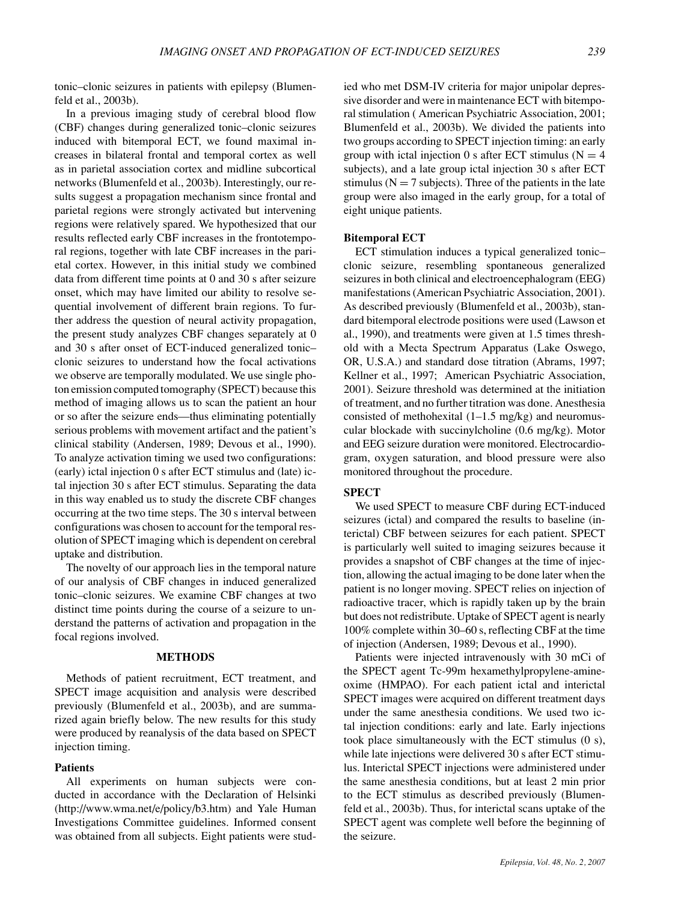tonic–clonic seizures in patients with epilepsy (Blumenfeld et al., 2003b).

In a previous imaging study of cerebral blood flow (CBF) changes during generalized tonic–clonic seizures induced with bitemporal ECT, we found maximal increases in bilateral frontal and temporal cortex as well as in parietal association cortex and midline subcortical networks (Blumenfeld et al., 2003b). Interestingly, our results suggest a propagation mechanism since frontal and parietal regions were strongly activated but intervening regions were relatively spared. We hypothesized that our results reflected early CBF increases in the frontotemporal regions, together with late CBF increases in the parietal cortex. However, in this initial study we combined data from different time points at 0 and 30 s after seizure onset, which may have limited our ability to resolve sequential involvement of different brain regions. To further address the question of neural activity propagation, the present study analyzes CBF changes separately at 0 and 30 s after onset of ECT-induced generalized tonic– clonic seizures to understand how the focal activations we observe are temporally modulated. We use single photon emission computed tomography (SPECT) because this method of imaging allows us to scan the patient an hour or so after the seizure ends—thus eliminating potentially serious problems with movement artifact and the patient's clinical stability (Andersen, 1989; Devous et al., 1990). To analyze activation timing we used two configurations: (early) ictal injection 0 s after ECT stimulus and (late) ictal injection 30 s after ECT stimulus. Separating the data in this way enabled us to study the discrete CBF changes occurring at the two time steps. The 30 s interval between configurations was chosen to account for the temporal resolution of SPECT imaging which is dependent on cerebral uptake and distribution.

The novelty of our approach lies in the temporal nature of our analysis of CBF changes in induced generalized tonic–clonic seizures. We examine CBF changes at two distinct time points during the course of a seizure to understand the patterns of activation and propagation in the focal regions involved.

## **METHODS**

Methods of patient recruitment, ECT treatment, and SPECT image acquisition and analysis were described previously (Blumenfeld et al., 2003b), and are summarized again briefly below. The new results for this study were produced by reanalysis of the data based on SPECT injection timing.

## **Patients**

All experiments on human subjects were conducted in accordance with the Declaration of Helsinki (http://www.wma.net/e/policy/b3.htm) and Yale Human Investigations Committee guidelines. Informed consent was obtained from all subjects. Eight patients were stud-

ied who met DSM-IV criteria for major unipolar depressive disorder and were in maintenance ECT with bitemporal stimulation ( American Psychiatric Association, 2001; Blumenfeld et al., 2003b). We divided the patients into two groups according to SPECT injection timing: an early group with ictal injection 0 s after ECT stimulus ( $N = 4$ ) subjects), and a late group ictal injection 30 s after ECT stimulus ( $N = 7$  subjects). Three of the patients in the late group were also imaged in the early group, for a total of eight unique patients.

#### **Bitemporal ECT**

ECT stimulation induces a typical generalized tonic– clonic seizure, resembling spontaneous generalized seizures in both clinical and electroencephalogram (EEG) manifestations (American Psychiatric Association, 2001). As described previously (Blumenfeld et al., 2003b), standard bitemporal electrode positions were used (Lawson et al., 1990), and treatments were given at 1.5 times threshold with a Mecta Spectrum Apparatus (Lake Oswego, OR, U.S.A.) and standard dose titration (Abrams, 1997; Kellner et al., 1997; American Psychiatric Association, 2001). Seizure threshold was determined at the initiation of treatment, and no further titration was done. Anesthesia consisted of methohexital  $(1-1.5 \text{ mg/kg})$  and neuromuscular blockade with succinylcholine (0.6 mg/kg). Motor and EEG seizure duration were monitored. Electrocardiogram, oxygen saturation, and blood pressure were also monitored throughout the procedure.

# **SPECT**

We used SPECT to measure CBF during ECT-induced seizures (ictal) and compared the results to baseline (interictal) CBF between seizures for each patient. SPECT is particularly well suited to imaging seizures because it provides a snapshot of CBF changes at the time of injection, allowing the actual imaging to be done later when the patient is no longer moving. SPECT relies on injection of radioactive tracer, which is rapidly taken up by the brain but does not redistribute. Uptake of SPECT agent is nearly 100% complete within 30–60 s, reflecting CBF at the time of injection (Andersen, 1989; Devous et al., 1990).

Patients were injected intravenously with 30 mCi of the SPECT agent Tc-99m hexamethylpropylene-amineoxime (HMPAO). For each patient ictal and interictal SPECT images were acquired on different treatment days under the same anesthesia conditions. We used two ictal injection conditions: early and late. Early injections took place simultaneously with the ECT stimulus (0 s), while late injections were delivered 30 s after ECT stimulus. Interictal SPECT injections were administered under the same anesthesia conditions, but at least 2 min prior to the ECT stimulus as described previously (Blumenfeld et al., 2003b). Thus, for interictal scans uptake of the SPECT agent was complete well before the beginning of the seizure.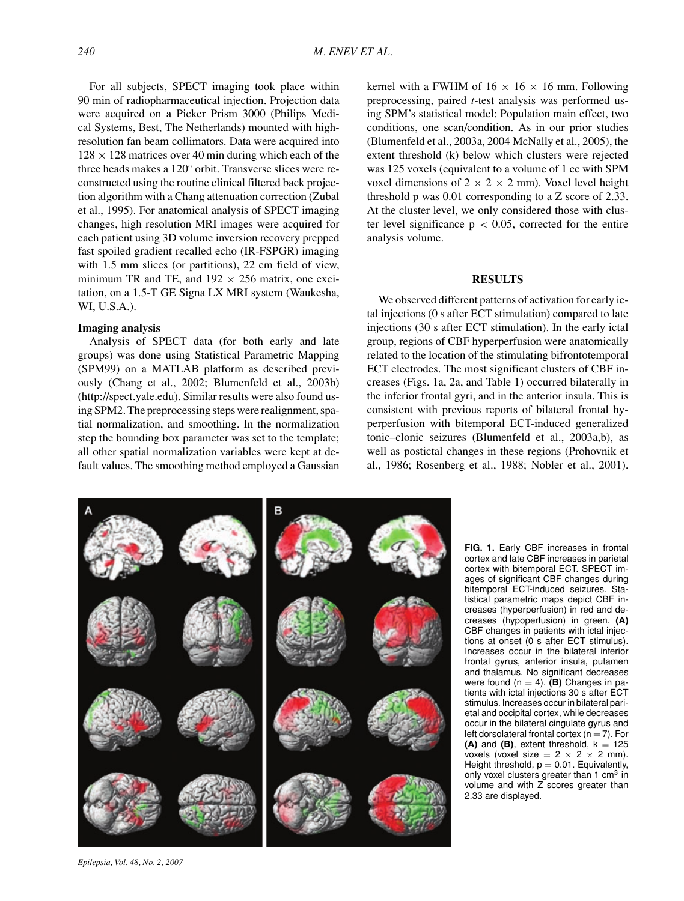For all subjects, SPECT imaging took place within 90 min of radiopharmaceutical injection. Projection data were acquired on a Picker Prism 3000 (Philips Medical Systems, Best, The Netherlands) mounted with highresolution fan beam collimators. Data were acquired into  $128 \times 128$  matrices over 40 min during which each of the three heads makes a 120◦ orbit. Transverse slices were reconstructed using the routine clinical filtered back projection algorithm with a Chang attenuation correction (Zubal et al., 1995). For anatomical analysis of SPECT imaging changes, high resolution MRI images were acquired for each patient using 3D volume inversion recovery prepped fast spoiled gradient recalled echo (IR-FSPGR) imaging with 1.5 mm slices (or partitions), 22 cm field of view, minimum TR and TE, and  $192 \times 256$  matrix, one excitation, on a 1.5-T GE Signa LX MRI system (Waukesha, WI, U.S.A.).

# **Imaging analysis**

Analysis of SPECT data (for both early and late groups) was done using Statistical Parametric Mapping (SPM99) on a MATLAB platform as described previously (Chang et al., 2002; Blumenfeld et al., 2003b) (http://spect.yale.edu). Similar results were also found using SPM2. The preprocessing steps were realignment, spatial normalization, and smoothing. In the normalization step the bounding box parameter was set to the template; all other spatial normalization variables were kept at default values. The smoothing method employed a Gaussian kernel with a FWHM of  $16 \times 16 \times 16$  mm. Following preprocessing, paired *t*-test analysis was performed using SPM's statistical model: Population main effect, two conditions, one scan/condition. As in our prior studies (Blumenfeld et al., 2003a, 2004 McNally et al., 2005), the extent threshold (k) below which clusters were rejected was 125 voxels (equivalent to a volume of 1 cc with SPM voxel dimensions of  $2 \times 2 \times 2$  mm). Voxel level height threshold p was 0.01 corresponding to a Z score of 2.33. At the cluster level, we only considered those with cluster level significance  $p < 0.05$ , corrected for the entire analysis volume.

#### **RESULTS**

We observed different patterns of activation for early ictal injections (0 s after ECT stimulation) compared to late injections (30 s after ECT stimulation). In the early ictal group, regions of CBF hyperperfusion were anatomically related to the location of the stimulating bifrontotemporal ECT electrodes. The most significant clusters of CBF increases (Figs. 1a, 2a, and Table 1) occurred bilaterally in the inferior frontal gyri, and in the anterior insula. This is consistent with previous reports of bilateral frontal hyperperfusion with bitemporal ECT-induced generalized tonic–clonic seizures (Blumenfeld et al., 2003a,b), as well as postictal changes in these regions (Prohovnik et al., 1986; Rosenberg et al., 1988; Nobler et al., 2001).



**FIG. 1.** Early CBF increases in frontal cortex and late CBF increases in parietal cortex with bitemporal ECT. SPECT images of significant CBF changes during bitemporal ECT-induced seizures. Statistical parametric maps depict CBF increases (hyperperfusion) in red and decreases (hypoperfusion) in green. **(A)** CBF changes in patients with ictal injections at onset (0 s after ECT stimulus). Increases occur in the bilateral inferior frontal gyrus, anterior insula, putamen and thalamus. No significant decreases were found  $(n = 4)$ . **(B)** Changes in patients with ictal injections 30 s after ECT stimulus. Increases occur in bilateral parietal and occipital cortex, while decreases occur in the bilateral cingulate gyrus and left dorsolateral frontal cortex  $(n = 7)$ . For  $(A)$  and  $(B)$ , extent threshold,  $k = 125$ voxels (voxel size  $= 2 \times 2 \times 2$  mm). Height threshold,  $p = 0.01$ . Equivalently, only voxel clusters greater than 1 cm<sup>3</sup> in volume and with Z scores greater than 2.33 are displayed.

*Epilepsia, Vol. 48, No. 2, 2007*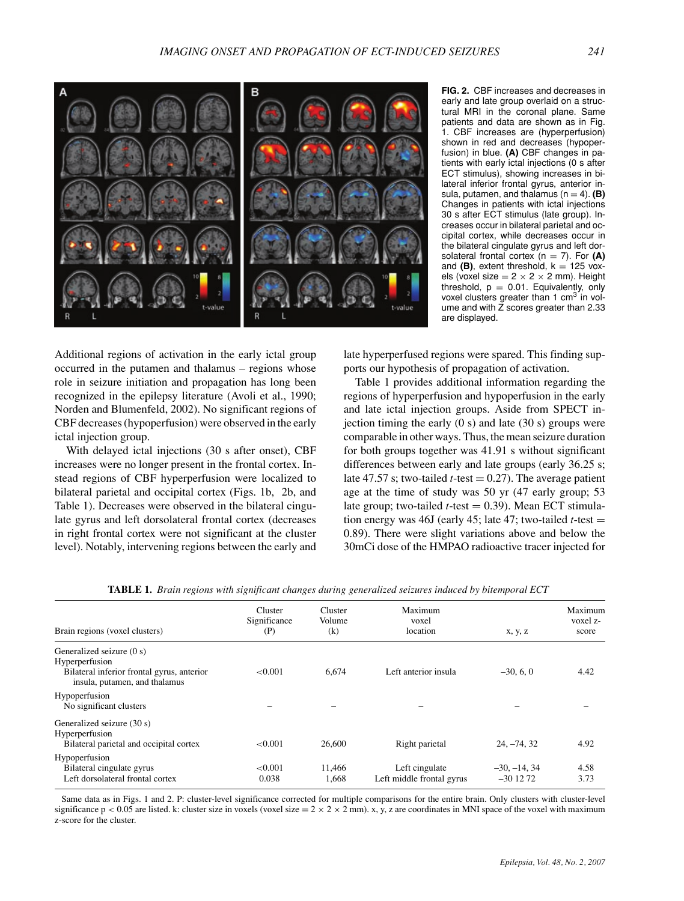

**FIG. 2.** CBF increases and decreases in early and late group overlaid on a structural MRI in the coronal plane. Same patients and data are shown as in Fig. 1. CBF increases are (hyperperfusion) shown in red and decreases (hypoperfusion) in blue. **(A)** CBF changes in patients with early ictal injections (0 s after ECT stimulus), showing increases in bilateral inferior frontal gyrus, anterior insula, putamen, and thalamus  $(n = 4)$ . **(B)** Changes in patients with ictal injections 30 s after ECT stimulus (late group). Increases occur in bilateral parietal and occipital cortex, while decreases occur in the bilateral cingulate gyrus and left dorsolateral frontal cortex  $(n = 7)$ . For  $(A)$ and  $(B)$ , extent threshold,  $k = 125$  voxels (voxel size =  $2 \times 2 \times 2$  mm). Height threshold,  $p = 0.01$ . Equivalently, only voxel clusters greater than 1 cm<sup>3</sup> in volume and with Z scores greater than 2.33 are displayed.

Additional regions of activation in the early ictal group occurred in the putamen and thalamus – regions whose role in seizure initiation and propagation has long been recognized in the epilepsy literature (Avoli et al., 1990; Norden and Blumenfeld, 2002). No significant regions of CBF decreases (hypoperfusion) were observed in the early ictal injection group.

With delayed ictal injections (30 s after onset), CBF increases were no longer present in the frontal cortex. Instead regions of CBF hyperperfusion were localized to bilateral parietal and occipital cortex (Figs. 1b, 2b, and Table 1). Decreases were observed in the bilateral cingulate gyrus and left dorsolateral frontal cortex (decreases in right frontal cortex were not significant at the cluster level). Notably, intervening regions between the early and

late hyperperfused regions were spared. This finding supports our hypothesis of propagation of activation.

Table 1 provides additional information regarding the regions of hyperperfusion and hypoperfusion in the early and late ictal injection groups. Aside from SPECT injection timing the early  $(0 s)$  and late  $(30 s)$  groups were comparable in other ways. Thus, the mean seizure duration for both groups together was 41.91 s without significant differences between early and late groups (early 36.25 s; late 47.57 s; two-tailed  $t$ -test = 0.27). The average patient age at the time of study was 50 yr (47 early group; 53 late group; two-tailed  $t$ -test  $= 0.39$ ). Mean ECT stimulation energy was 46J (early 45; late 47; two-tailed *t*-test  $=$ 0.89). There were slight variations above and below the 30mCi dose of the HMPAO radioactive tracer injected for

| Brain regions (voxel clusters)                                                                                             | Cluster<br>Significance<br>(P) | Cluster<br>Volume<br>(k) | Maximum<br>voxel<br>location                | x, y, z                     | Maximum<br>voxel z-<br>score |
|----------------------------------------------------------------------------------------------------------------------------|--------------------------------|--------------------------|---------------------------------------------|-----------------------------|------------------------------|
| Generalized seizure (0 s)<br>Hyperperfusion<br>Bilateral inferior frontal gyrus, anterior<br>insula, putamen, and thalamus | < 0.001                        | 6.674                    | Left anterior insula                        | $-30, 6, 0$                 | 4.42                         |
| Hypoperfusion<br>No significant clusters                                                                                   |                                |                          |                                             |                             |                              |
| Generalized seizure (30 s)<br>Hyperperfusion<br>Bilateral parietal and occipital cortex                                    | < 0.001                        | 26,600                   | Right parietal                              | $24, -74, 32$               | 4.92                         |
| Hypoperfusion<br>Bilateral cingulate gyrus<br>Left dorsolateral frontal cortex                                             | < 0.001<br>0.038               | 11.466<br>1.668          | Left cingulate<br>Left middle frontal gyrus | $-30, -14, 34$<br>$-301272$ | 4.58<br>3.73                 |

**TABLE 1.** *Brain regions with significant changes during generalized seizures induced by bitemporal ECT*

Same data as in Figs. 1 and 2. P: cluster-level significance corrected for multiple comparisons for the entire brain. Only clusters with cluster-level significance  $p < 0.05$  are listed. k: cluster size in voxels (voxel size =  $2 \times 2 \times 2$  mm). x, y, z are coordinates in MNI space of the voxel with maximum z-score for the cluster.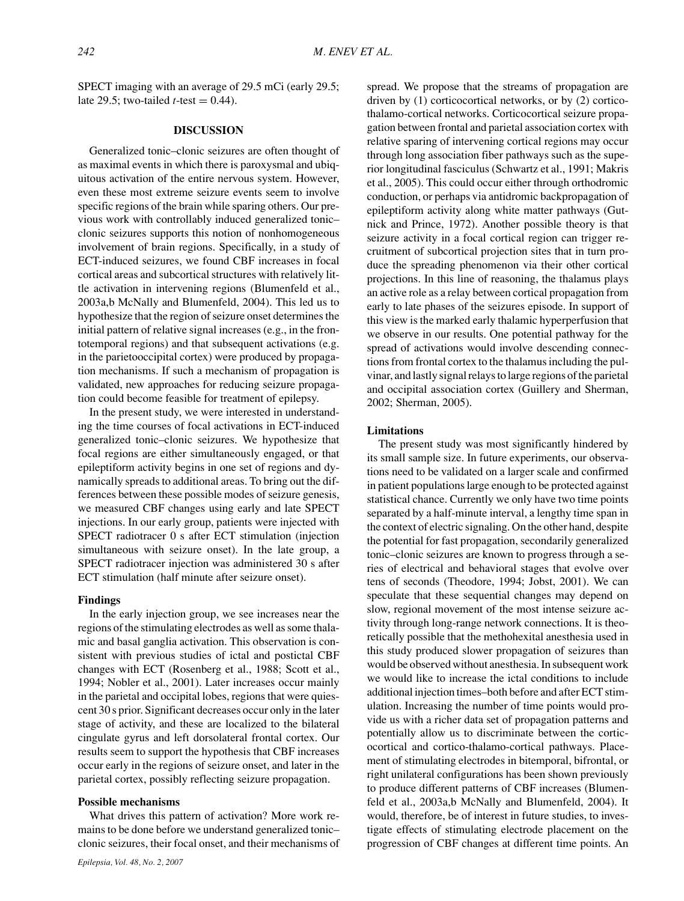SPECT imaging with an average of 29.5 mCi (early 29.5; late 29.5; two-tailed *t*-test =  $0.44$ ).

## **DISCUSSION**

Generalized tonic–clonic seizures are often thought of as maximal events in which there is paroxysmal and ubiquitous activation of the entire nervous system. However, even these most extreme seizure events seem to involve specific regions of the brain while sparing others. Our previous work with controllably induced generalized tonic– clonic seizures supports this notion of nonhomogeneous involvement of brain regions. Specifically, in a study of ECT-induced seizures, we found CBF increases in focal cortical areas and subcortical structures with relatively little activation in intervening regions (Blumenfeld et al., 2003a,b McNally and Blumenfeld, 2004). This led us to hypothesize that the region of seizure onset determines the initial pattern of relative signal increases (e.g., in the frontotemporal regions) and that subsequent activations (e.g. in the parietooccipital cortex) were produced by propagation mechanisms. If such a mechanism of propagation is validated, new approaches for reducing seizure propagation could become feasible for treatment of epilepsy.

In the present study, we were interested in understanding the time courses of focal activations in ECT-induced generalized tonic–clonic seizures. We hypothesize that focal regions are either simultaneously engaged, or that epileptiform activity begins in one set of regions and dynamically spreads to additional areas. To bring out the differences between these possible modes of seizure genesis, we measured CBF changes using early and late SPECT injections. In our early group, patients were injected with SPECT radiotracer 0 s after ECT stimulation (injection simultaneous with seizure onset). In the late group, a SPECT radiotracer injection was administered 30 s after ECT stimulation (half minute after seizure onset).

## **Findings**

In the early injection group, we see increases near the regions of the stimulating electrodes as well as some thalamic and basal ganglia activation. This observation is consistent with previous studies of ictal and postictal CBF changes with ECT (Rosenberg et al., 1988; Scott et al., 1994; Nobler et al., 2001). Later increases occur mainly in the parietal and occipital lobes, regions that were quiescent 30 s prior. Significant decreases occur only in the later stage of activity, and these are localized to the bilateral cingulate gyrus and left dorsolateral frontal cortex. Our results seem to support the hypothesis that CBF increases occur early in the regions of seizure onset, and later in the parietal cortex, possibly reflecting seizure propagation.

# **Possible mechanisms**

What drives this pattern of activation? More work remains to be done before we understand generalized tonic– clonic seizures, their focal onset, and their mechanisms of spread. We propose that the streams of propagation are driven by (1) corticocortical networks, or by (2) corticothalamo-cortical networks. Corticocortical seizure propagation between frontal and parietal association cortex with relative sparing of intervening cortical regions may occur through long association fiber pathways such as the superior longitudinal fasciculus (Schwartz et al., 1991; Makris et al., 2005). This could occur either through orthodromic conduction, or perhaps via antidromic backpropagation of epileptiform activity along white matter pathways (Gutnick and Prince, 1972). Another possible theory is that seizure activity in a focal cortical region can trigger recruitment of subcortical projection sites that in turn produce the spreading phenomenon via their other cortical projections. In this line of reasoning, the thalamus plays an active role as a relay between cortical propagation from early to late phases of the seizures episode. In support of this view is the marked early thalamic hyperperfusion that we observe in our results. One potential pathway for the spread of activations would involve descending connections from frontal cortex to the thalamus including the pulvinar, and lastly signal relays to large regions of the parietal and occipital association cortex (Guillery and Sherman, 2002; Sherman, 2005).

# **Limitations**

The present study was most significantly hindered by its small sample size. In future experiments, our observations need to be validated on a larger scale and confirmed in patient populations large enough to be protected against statistical chance. Currently we only have two time points separated by a half-minute interval, a lengthy time span in the context of electric signaling. On the other hand, despite the potential for fast propagation, secondarily generalized tonic–clonic seizures are known to progress through a series of electrical and behavioral stages that evolve over tens of seconds (Theodore, 1994; Jobst, 2001). We can speculate that these sequential changes may depend on slow, regional movement of the most intense seizure activity through long-range network connections. It is theoretically possible that the methohexital anesthesia used in this study produced slower propagation of seizures than would be observed without anesthesia. In subsequent work we would like to increase the ictal conditions to include additional injection times–both before and after ECT stimulation. Increasing the number of time points would provide us with a richer data set of propagation patterns and potentially allow us to discriminate between the corticocortical and cortico-thalamo-cortical pathways. Placement of stimulating electrodes in bitemporal, bifrontal, or right unilateral configurations has been shown previously to produce different patterns of CBF increases (Blumenfeld et al., 2003a,b McNally and Blumenfeld, 2004). It would, therefore, be of interest in future studies, to investigate effects of stimulating electrode placement on the progression of CBF changes at different time points. An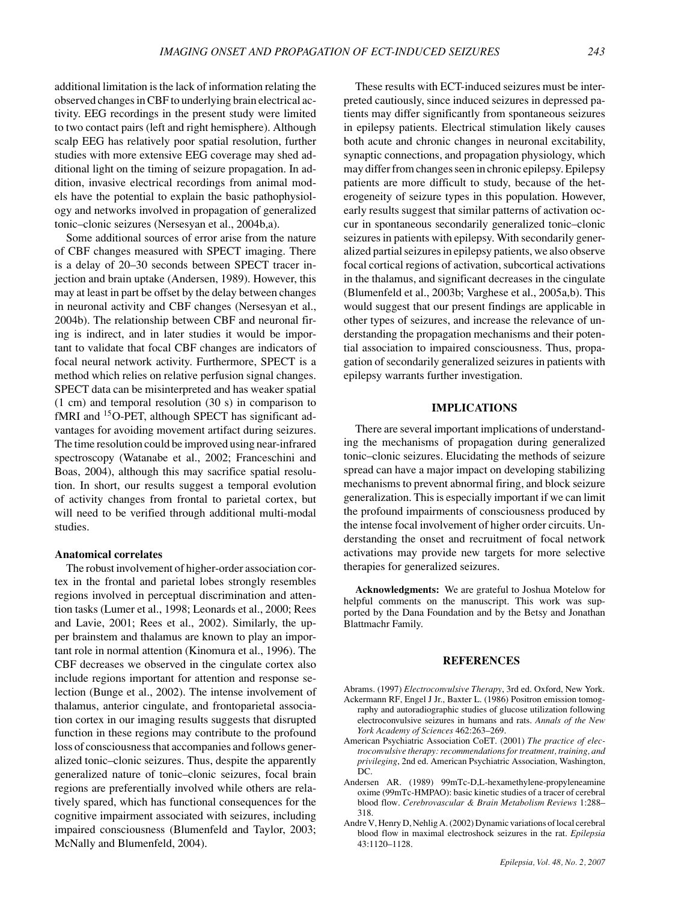additional limitation is the lack of information relating the observed changes in CBF to underlying brain electrical activity. EEG recordings in the present study were limited to two contact pairs (left and right hemisphere). Although scalp EEG has relatively poor spatial resolution, further studies with more extensive EEG coverage may shed additional light on the timing of seizure propagation. In addition, invasive electrical recordings from animal models have the potential to explain the basic pathophysiology and networks involved in propagation of generalized tonic–clonic seizures (Nersesyan et al., 2004b,a).

Some additional sources of error arise from the nature of CBF changes measured with SPECT imaging. There is a delay of 20–30 seconds between SPECT tracer injection and brain uptake (Andersen, 1989). However, this may at least in part be offset by the delay between changes in neuronal activity and CBF changes (Nersesyan et al., 2004b). The relationship between CBF and neuronal firing is indirect, and in later studies it would be important to validate that focal CBF changes are indicators of focal neural network activity. Furthermore, SPECT is a method which relies on relative perfusion signal changes. SPECT data can be misinterpreted and has weaker spatial (1 cm) and temporal resolution (30 s) in comparison to fMRI and <sup>15</sup>O-PET, although SPECT has significant advantages for avoiding movement artifact during seizures. The time resolution could be improved using near-infrared spectroscopy (Watanabe et al., 2002; Franceschini and Boas, 2004), although this may sacrifice spatial resolution. In short, our results suggest a temporal evolution of activity changes from frontal to parietal cortex, but will need to be verified through additional multi-modal studies.

#### **Anatomical correlates**

The robust involvement of higher-order association cortex in the frontal and parietal lobes strongly resembles regions involved in perceptual discrimination and attention tasks (Lumer et al., 1998; Leonards et al., 2000; Rees and Lavie, 2001; Rees et al., 2002). Similarly, the upper brainstem and thalamus are known to play an important role in normal attention (Kinomura et al., 1996). The CBF decreases we observed in the cingulate cortex also include regions important for attention and response selection (Bunge et al., 2002). The intense involvement of thalamus, anterior cingulate, and frontoparietal association cortex in our imaging results suggests that disrupted function in these regions may contribute to the profound loss of consciousness that accompanies and follows generalized tonic–clonic seizures. Thus, despite the apparently generalized nature of tonic–clonic seizures, focal brain regions are preferentially involved while others are relatively spared, which has functional consequences for the cognitive impairment associated with seizures, including impaired consciousness (Blumenfeld and Taylor, 2003; McNally and Blumenfeld, 2004).

These results with ECT-induced seizures must be interpreted cautiously, since induced seizures in depressed patients may differ significantly from spontaneous seizures in epilepsy patients. Electrical stimulation likely causes both acute and chronic changes in neuronal excitability, synaptic connections, and propagation physiology, which may differ from changes seen in chronic epilepsy. Epilepsy patients are more difficult to study, because of the heterogeneity of seizure types in this population. However, early results suggest that similar patterns of activation occur in spontaneous secondarily generalized tonic–clonic seizures in patients with epilepsy. With secondarily generalized partial seizures in epilepsy patients, we also observe focal cortical regions of activation, subcortical activations in the thalamus, and significant decreases in the cingulate (Blumenfeld et al., 2003b; Varghese et al., 2005a,b). This would suggest that our present findings are applicable in other types of seizures, and increase the relevance of understanding the propagation mechanisms and their potential association to impaired consciousness. Thus, propagation of secondarily generalized seizures in patients with epilepsy warrants further investigation.

#### **IMPLICATIONS**

There are several important implications of understanding the mechanisms of propagation during generalized tonic–clonic seizures. Elucidating the methods of seizure spread can have a major impact on developing stabilizing mechanisms to prevent abnormal firing, and block seizure generalization. This is especially important if we can limit the profound impairments of consciousness produced by the intense focal involvement of higher order circuits. Understanding the onset and recruitment of focal network activations may provide new targets for more selective therapies for generalized seizures.

**Acknowledgments:** We are grateful to Joshua Motelow for helpful comments on the manuscript. This work was supported by the Dana Foundation and by the Betsy and Jonathan Blattmachr Family.

#### **REFERENCES**

- Abrams. (1997) *Electroconvulsive Therapy*, 3rd ed. Oxford, New York. Ackermann RF, Engel J Jr., Baxter L. (1986) Positron emission tomography and autoradiographic studies of glucose utilization following electroconvulsive seizures in humans and rats. *Annals of the New York Academy of Sciences* 462:263–269.
- American Psychiatric Association CoET. (2001) *The practice of electroconvulsive therapy: recommendations for treatment, training, and privileging*, 2nd ed. American Psychiatric Association, Washington, DC.
- Andersen AR. (1989) 99mTc-D,L-hexamethylene-propyleneamine oxime (99mTc-HMPAO): basic kinetic studies of a tracer of cerebral blood flow. *Cerebrovascular & Brain Metabolism Reviews* 1:288– 318.
- Andre V, Henry D, Nehlig A. (2002) Dynamic variations of local cerebral blood flow in maximal electroshock seizures in the rat. *Epilepsia* 43:1120–1128.